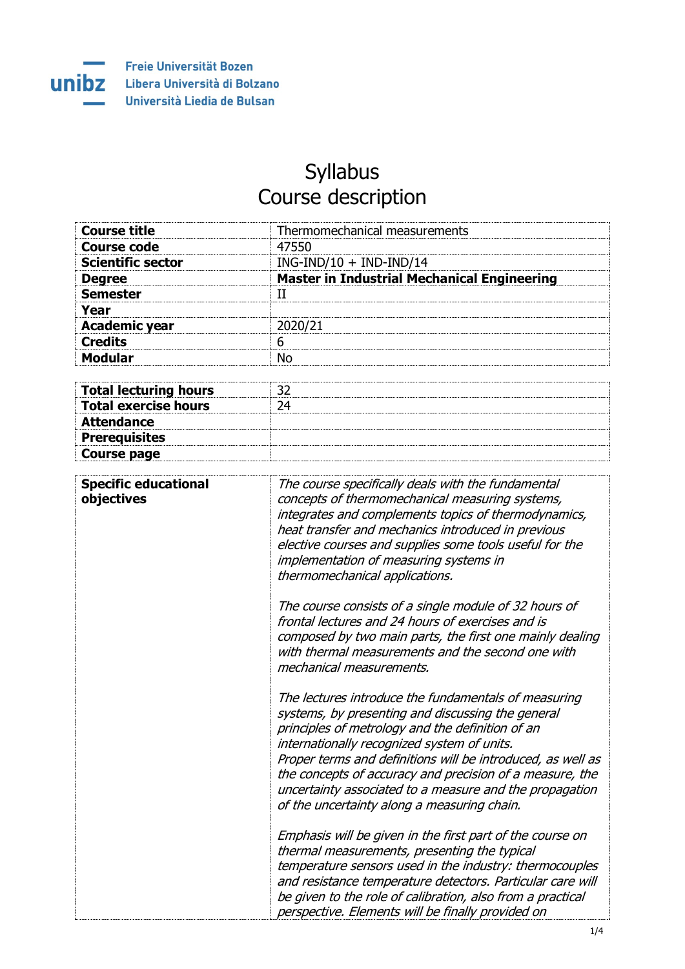

## **Syllabus** Course description

| Thermomechanical measurements                      |
|----------------------------------------------------|
| 47550                                              |
| $ING-IND/10 + IND-IND/14$                          |
| <b>Master in Industrial Mechanical Engineering</b> |
|                                                    |
|                                                    |
| 2020/21                                            |
| 6                                                  |
| N٥                                                 |
|                                                    |

| <b>Total lecturing hours</b> |  |
|------------------------------|--|
| <b>Total exercise hours</b>  |  |
| <b>Attendance</b>            |  |
| <b>Prerequisites</b>         |  |
| Course page                  |  |

| <b>Specific educational</b><br>objectives | The course specifically deals with the fundamental<br>concepts of thermomechanical measuring systems,<br>integrates and complements topics of thermodynamics,<br>heat transfer and mechanics introduced in previous<br>elective courses and supplies some tools useful for the<br>implementation of measuring systems in<br>thermomechanical applications.                                                                                        |
|-------------------------------------------|---------------------------------------------------------------------------------------------------------------------------------------------------------------------------------------------------------------------------------------------------------------------------------------------------------------------------------------------------------------------------------------------------------------------------------------------------|
|                                           | The course consists of a single module of 32 hours of<br>frontal lectures and 24 hours of exercises and is<br>composed by two main parts, the first one mainly dealing<br>with thermal measurements and the second one with<br>mechanical measurements.                                                                                                                                                                                           |
|                                           | The lectures introduce the fundamentals of measuring<br>systems, by presenting and discussing the general<br>principles of metrology and the definition of an<br>internationally recognized system of units.<br>Proper terms and definitions will be introduced, as well as<br>the concepts of accuracy and precision of a measure, the<br>uncertainty associated to a measure and the propagation<br>of the uncertainty along a measuring chain. |
|                                           | Emphasis will be given in the first part of the course on<br>thermal measurements, presenting the typical<br>temperature sensors used in the industry: thermocouples<br>and resistance temperature detectors. Particular care will<br>be given to the role of calibration, also from a practical<br>perspective. Elements will be finally provided on                                                                                             |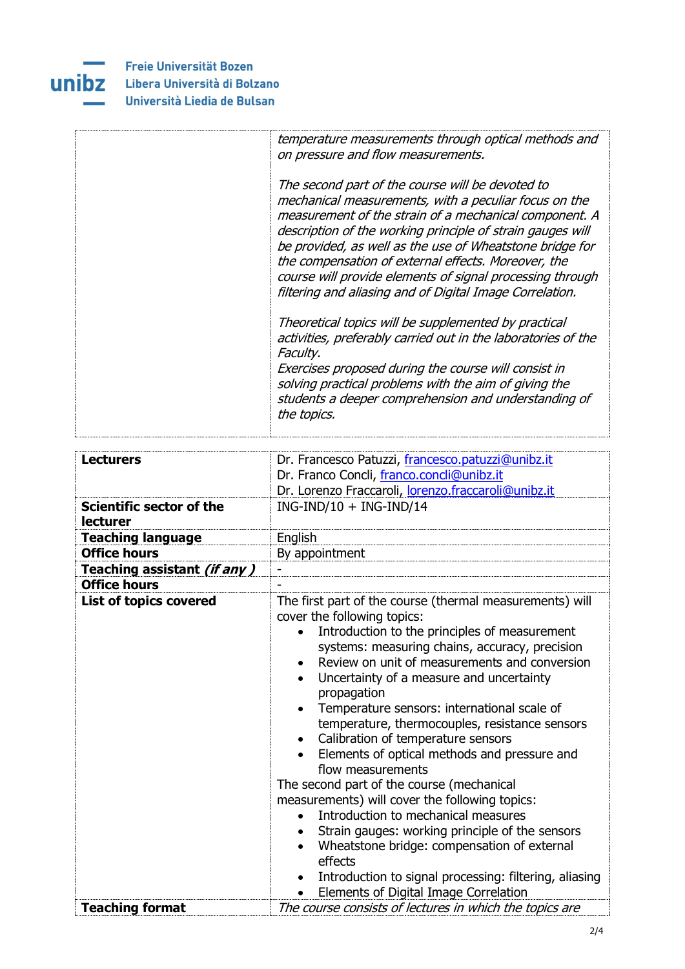

| temperature measurements through optical methods and<br>on pressure and flow measurements.                                                                                                                                                                                                                                                                                                                                                                                    |
|-------------------------------------------------------------------------------------------------------------------------------------------------------------------------------------------------------------------------------------------------------------------------------------------------------------------------------------------------------------------------------------------------------------------------------------------------------------------------------|
| The second part of the course will be devoted to<br>mechanical measurements, with a peculiar focus on the<br>measurement of the strain of a mechanical component. A<br>description of the working principle of strain gauges will<br>be provided, as well as the use of Wheatstone bridge for<br>the compensation of external effects. Moreover, the<br>course will provide elements of signal processing through<br>filtering and aliasing and of Digital Image Correlation. |
| Theoretical topics will be supplemented by practical<br>activities, preferably carried out in the laboratories of the<br>Faculty.<br>Exercises proposed during the course will consist in<br>solving practical problems with the aim of giving the<br>students a deeper comprehension and understanding of<br>the topics.                                                                                                                                                     |

| <b>Lecturers</b><br>Scientific sector of the<br>lecturer<br><b>Teaching language</b><br><b>Office hours</b><br>Teaching assistant (if any) | Dr. Francesco Patuzzi, francesco.patuzzi@unibz.it<br>Dr. Franco Concli, franco.concli@unibz.it<br>Dr. Lorenzo Fraccaroli, lorenzo.fraccaroli@unibz.it<br>$ING-IND/10 + ING-IND/14$<br>English<br>By appointment                                                                                                                                                                                                                                                                                                                                                                                                                                                                                                                                                                                                                                                                                                 |
|--------------------------------------------------------------------------------------------------------------------------------------------|-----------------------------------------------------------------------------------------------------------------------------------------------------------------------------------------------------------------------------------------------------------------------------------------------------------------------------------------------------------------------------------------------------------------------------------------------------------------------------------------------------------------------------------------------------------------------------------------------------------------------------------------------------------------------------------------------------------------------------------------------------------------------------------------------------------------------------------------------------------------------------------------------------------------|
| <b>Office hours</b>                                                                                                                        |                                                                                                                                                                                                                                                                                                                                                                                                                                                                                                                                                                                                                                                                                                                                                                                                                                                                                                                 |
| <b>List of topics covered</b>                                                                                                              | The first part of the course (thermal measurements) will<br>cover the following topics:<br>Introduction to the principles of measurement<br>systems: measuring chains, accuracy, precision<br>Review on unit of measurements and conversion<br>$\bullet$<br>Uncertainty of a measure and uncertainty<br>propagation<br>Temperature sensors: international scale of<br>$\bullet$<br>temperature, thermocouples, resistance sensors<br>Calibration of temperature sensors<br>Elements of optical methods and pressure and<br>flow measurements<br>The second part of the course (mechanical<br>measurements) will cover the following topics:<br>Introduction to mechanical measures<br>$\bullet$<br>Strain gauges: working principle of the sensors<br>Wheatstone bridge: compensation of external<br>effects<br>Introduction to signal processing: filtering, aliasing<br>Elements of Digital Image Correlation |
| <b>Teaching format</b>                                                                                                                     | The course consists of lectures in which the topics are                                                                                                                                                                                                                                                                                                                                                                                                                                                                                                                                                                                                                                                                                                                                                                                                                                                         |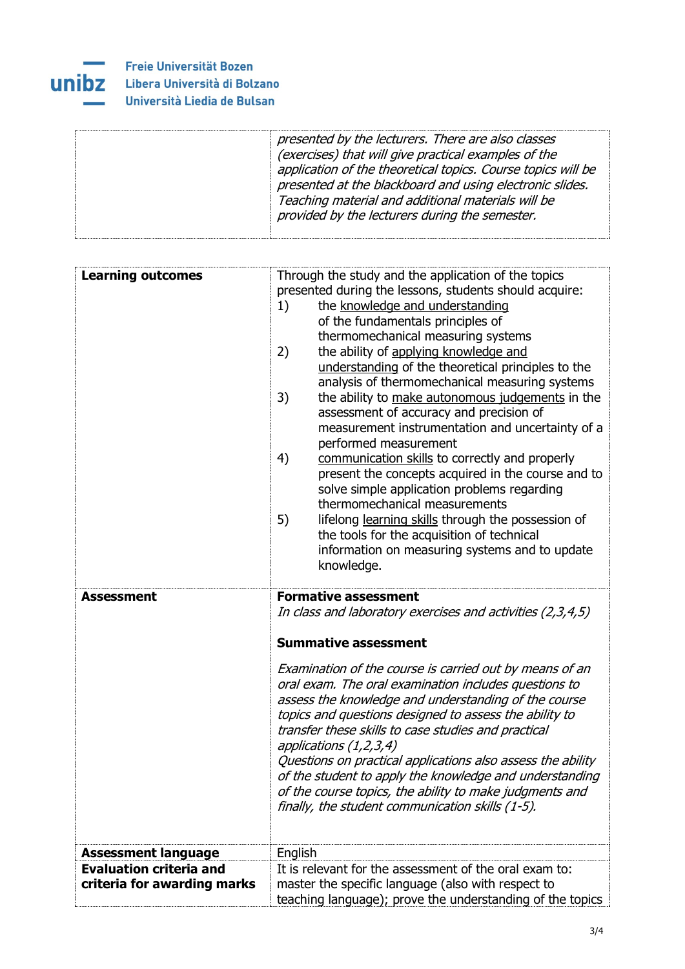

## Freie Universität Bozen Libera Università di Bolzano Università Liedia de Bulsan

| presented by the lecturers. There are also classes<br>(exercises) that will give practical examples of the<br>application of the theoretical topics. Course topics will be<br>presented at the blackboard and using electronic slides.<br>Teaching material and additional materials will be<br>provided by the lecturers during the semester. |
|------------------------------------------------------------------------------------------------------------------------------------------------------------------------------------------------------------------------------------------------------------------------------------------------------------------------------------------------|
|                                                                                                                                                                                                                                                                                                                                                |

| <b>Learning outcomes</b>       | Through the study and the application of the topics<br>presented during the lessons, students should acquire:<br>the knowledge and understanding<br>1)<br>of the fundamentals principles of<br>thermomechanical measuring systems<br>the ability of applying knowledge and<br>2)<br>understanding of the theoretical principles to the<br>analysis of thermomechanical measuring systems<br>3)<br>the ability to make autonomous judgements in the<br>assessment of accuracy and precision of<br>measurement instrumentation and uncertainty of a<br>performed measurement<br>communication skills to correctly and properly<br>4)<br>present the concepts acquired in the course and to<br>solve simple application problems regarding<br>thermomechanical measurements<br>5)<br>lifelong learning skills through the possession of<br>the tools for the acquisition of technical<br>information on measuring systems and to update<br>knowledge. |
|--------------------------------|----------------------------------------------------------------------------------------------------------------------------------------------------------------------------------------------------------------------------------------------------------------------------------------------------------------------------------------------------------------------------------------------------------------------------------------------------------------------------------------------------------------------------------------------------------------------------------------------------------------------------------------------------------------------------------------------------------------------------------------------------------------------------------------------------------------------------------------------------------------------------------------------------------------------------------------------------|
| <b>Assessment</b>              | <b>Formative assessment</b><br>In class and laboratory exercises and activities (2,3,4,5)<br><b>Summative assessment</b><br>Examination of the course is carried out by means of an<br>oral exam. The oral examination includes questions to<br>assess the knowledge and understanding of the course<br>topics and questions designed to assess the ability to<br>transfer these skills to case studies and practical<br>applications (1,2,3,4)<br>Questions on practical applications also assess the ability<br>of the student to apply the knowledge and understanding<br>of the course topics, the ability to make judgments and<br>finally, the student communication skills (1-5).                                                                                                                                                                                                                                                           |
| <b>Assessment language</b>     | English                                                                                                                                                                                                                                                                                                                                                                                                                                                                                                                                                                                                                                                                                                                                                                                                                                                                                                                                            |
| <b>Evaluation criteria and</b> | It is relevant for the assessment of the oral exam to:                                                                                                                                                                                                                                                                                                                                                                                                                                                                                                                                                                                                                                                                                                                                                                                                                                                                                             |
| criteria for awarding marks    | master the specific language (also with respect to<br>teaching language); prove the understanding of the topics                                                                                                                                                                                                                                                                                                                                                                                                                                                                                                                                                                                                                                                                                                                                                                                                                                    |